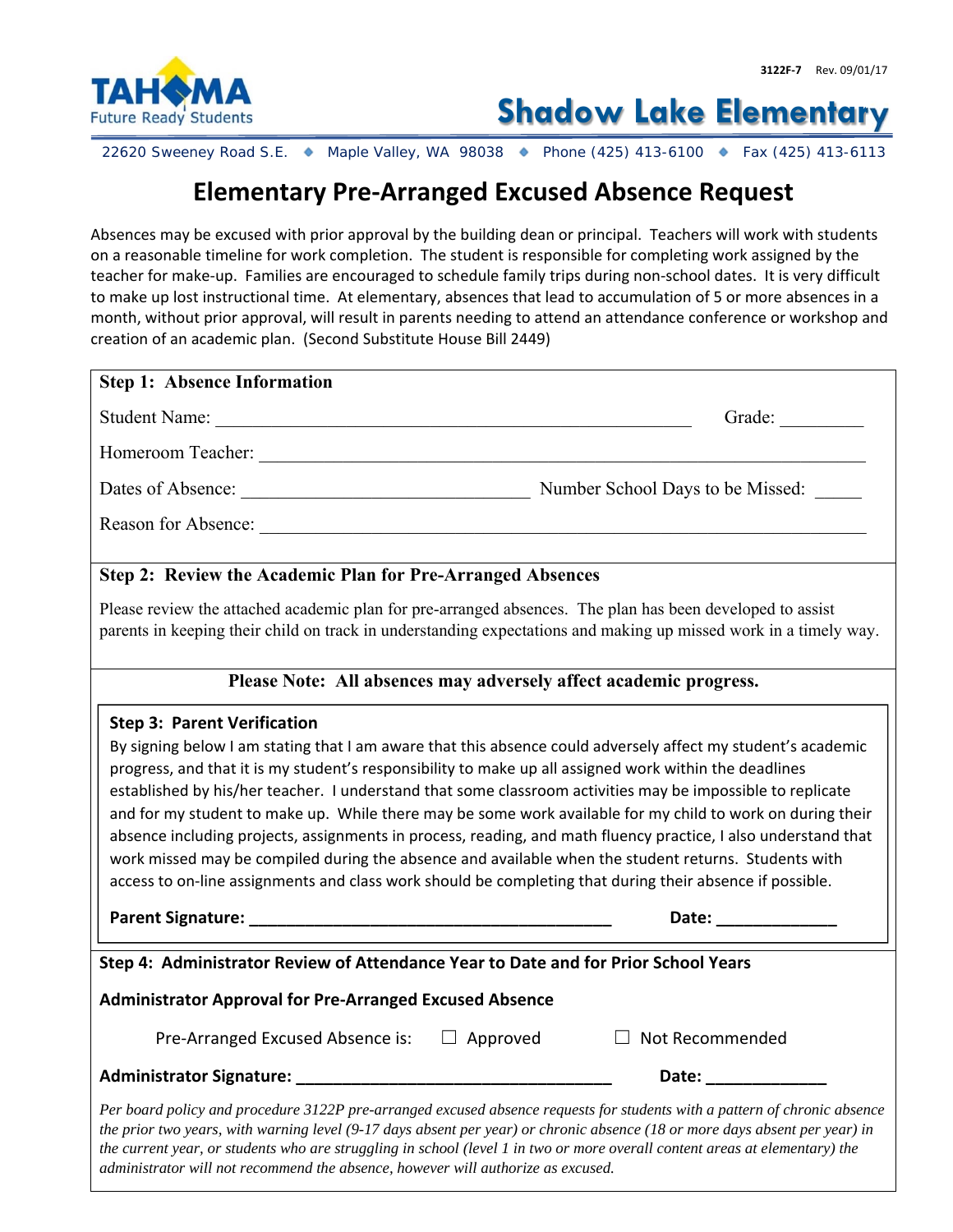

**Shadow Lake Elementary**

22620 Sweeney Road S.E. ● Maple Valley, WA 98038 ● Phone (425) 413-6100 ● Fax (425) 413-6113

## **Elementary Pre‐Arranged Excused Absence Request**

Absences may be excused with prior approval by the building dean or principal. Teachers will work with students on a reasonable timeline for work completion. The student is responsible for completing work assigned by the teacher for make‐up. Families are encouraged to schedule family trips during non‐school dates. It is very difficult to make up lost instructional time. At elementary, absences that lead to accumulation of 5 or more absences in a month, without prior approval, will result in parents needing to attend an attendance conference or workshop and creation of an academic plan. (Second Substitute House Bill 2449)

| <b>Step 1: Absence Information</b>                                                                                                                                                                                                                                                                                                                                                                                                                                                                                                                                                                                                                                                                                                                                                                                                                     |
|--------------------------------------------------------------------------------------------------------------------------------------------------------------------------------------------------------------------------------------------------------------------------------------------------------------------------------------------------------------------------------------------------------------------------------------------------------------------------------------------------------------------------------------------------------------------------------------------------------------------------------------------------------------------------------------------------------------------------------------------------------------------------------------------------------------------------------------------------------|
| Grade:                                                                                                                                                                                                                                                                                                                                                                                                                                                                                                                                                                                                                                                                                                                                                                                                                                                 |
|                                                                                                                                                                                                                                                                                                                                                                                                                                                                                                                                                                                                                                                                                                                                                                                                                                                        |
|                                                                                                                                                                                                                                                                                                                                                                                                                                                                                                                                                                                                                                                                                                                                                                                                                                                        |
|                                                                                                                                                                                                                                                                                                                                                                                                                                                                                                                                                                                                                                                                                                                                                                                                                                                        |
|                                                                                                                                                                                                                                                                                                                                                                                                                                                                                                                                                                                                                                                                                                                                                                                                                                                        |
| Step 2: Review the Academic Plan for Pre-Arranged Absences                                                                                                                                                                                                                                                                                                                                                                                                                                                                                                                                                                                                                                                                                                                                                                                             |
| Please review the attached academic plan for pre-arranged absences. The plan has been developed to assist<br>parents in keeping their child on track in understanding expectations and making up missed work in a timely way.                                                                                                                                                                                                                                                                                                                                                                                                                                                                                                                                                                                                                          |
| Please Note: All absences may adversely affect academic progress.                                                                                                                                                                                                                                                                                                                                                                                                                                                                                                                                                                                                                                                                                                                                                                                      |
| <b>Step 3: Parent Verification</b><br>By signing below I am stating that I am aware that this absence could adversely affect my student's academic<br>progress, and that it is my student's responsibility to make up all assigned work within the deadlines<br>established by his/her teacher. I understand that some classroom activities may be impossible to replicate<br>and for my student to make up. While there may be some work available for my child to work on during their<br>absence including projects, assignments in process, reading, and math fluency practice, I also understand that<br>work missed may be compiled during the absence and available when the student returns. Students with<br>access to on-line assignments and class work should be completing that during their absence if possible.<br>Date: ______________ |
| Step 4: Administrator Review of Attendance Year to Date and for Prior School Years                                                                                                                                                                                                                                                                                                                                                                                                                                                                                                                                                                                                                                                                                                                                                                     |
| <b>Administrator Approval for Pre-Arranged Excused Absence</b>                                                                                                                                                                                                                                                                                                                                                                                                                                                                                                                                                                                                                                                                                                                                                                                         |
| Pre-Arranged Excused Absence is: $\Box$ Approved<br>$\Box$ Not Recommended                                                                                                                                                                                                                                                                                                                                                                                                                                                                                                                                                                                                                                                                                                                                                                             |
| Date: _______________                                                                                                                                                                                                                                                                                                                                                                                                                                                                                                                                                                                                                                                                                                                                                                                                                                  |
| Per board policy and procedure 3122P pre-arranged excused absence requests for students with a pattern of chronic absence<br>the prior two years, with warning level (9-17 days absent per year) or chronic absence (18 or more days absent per year) in                                                                                                                                                                                                                                                                                                                                                                                                                                                                                                                                                                                               |

*the current year, or students who are struggling in school (level 1 in two or more overall content areas at elementary) the* 

*administrator will not recommend the absence, however will authorize as excused.*